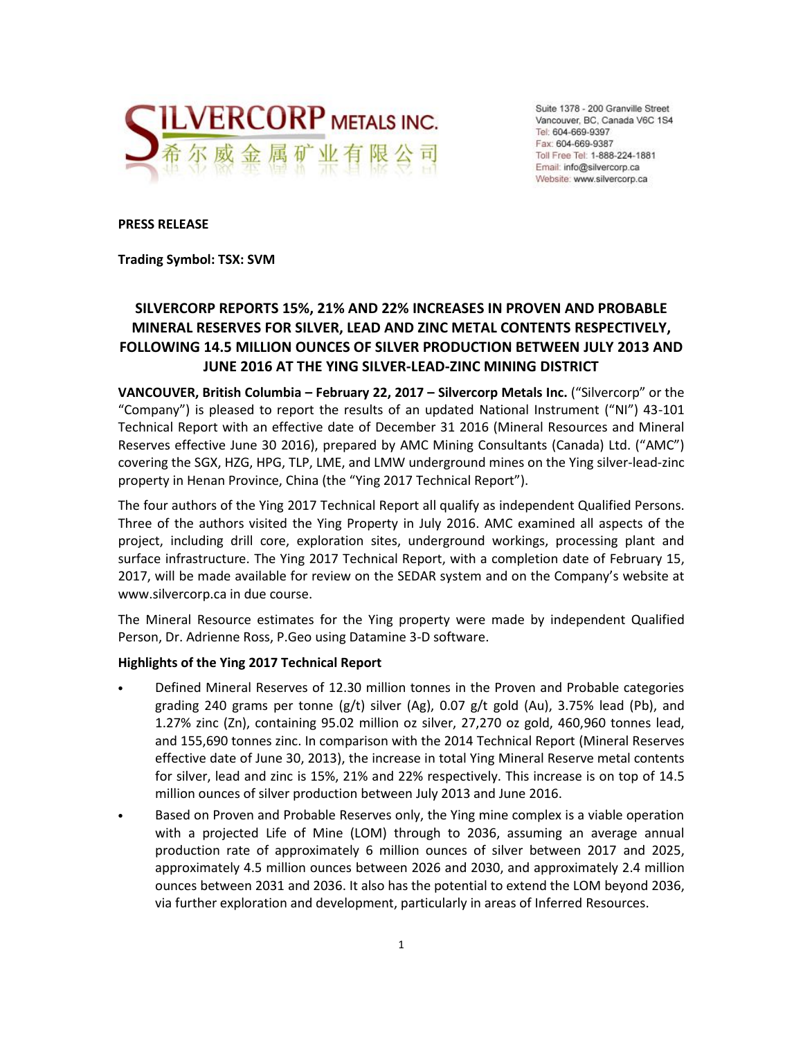

Suite 1378 - 200 Granville Street Vancouver, BC, Canada V6C 1S4 Tel: 604-669-9397 Fax: 604-669-9387 Toll Free Tel: 1-888-224-1881 Email: info@silvercorp.ca Website: www.silvercorp.ca

**PRESS RELEASE**

**Trading Symbol: TSX: SVM**

# **SILVERCORP REPORTS 15%, 21% AND 22% INCREASES IN PROVEN AND PROBABLE MINERAL RESERVES FOR SILVER, LEAD AND ZINC METAL CONTENTS RESPECTIVELY, FOLLOWING 14.5 MILLION OUNCES OF SILVER PRODUCTION BETWEEN JULY 2013 AND JUNE 2016 AT THE YING SILVER-LEAD-ZINC MINING DISTRICT**

**VANCOUVER, British Columbia – February 22, 2017 – Silvercorp Metals Inc.** ("Silvercorp" or the "Company") is pleased to report the results of an updated National Instrument ("NI") 43-101 Technical Report with an effective date of December 31 2016 (Mineral Resources and Mineral Reserves effective June 30 2016), prepared by AMC Mining Consultants (Canada) Ltd. ("AMC") covering the SGX, HZG, HPG, TLP, LME, and LMW underground mines on the Ying silver-lead-zinc property in Henan Province, China (the "Ying 2017 Technical Report").

The four authors of the Ying 2017 Technical Report all qualify as independent Qualified Persons. Three of the authors visited the Ying Property in July 2016. AMC examined all aspects of the project, including drill core, exploration sites, underground workings, processing plant and surface infrastructure. The Ying 2017 Technical Report, with a completion date of February 15, 2017, will be made available for review on the SEDAR system and on the Company's website at www.silvercorp.ca in due course.

The Mineral Resource estimates for the Ying property were made by independent Qualified Person, Dr. Adrienne Ross, P.Geo using Datamine 3-D software.

# **Highlights of the Ying 2017 Technical Report**

- Defined Mineral Reserves of 12.30 million tonnes in the Proven and Probable categories grading 240 grams per tonne  $(g/t)$  silver  $(Ag)$ , 0.07  $g/t$  gold  $(Au)$ , 3.75% lead  $(Pb)$ , and 1.27% zinc (Zn), containing 95.02 million oz silver, 27,270 oz gold, 460,960 tonnes lead, and 155,690 tonnes zinc. In comparison with the 2014 Technical Report (Mineral Reserves effective date of June 30, 2013), the increase in total Ying Mineral Reserve metal contents for silver, lead and zinc is 15%, 21% and 22% respectively. This increase is on top of 14.5 million ounces of silver production between July 2013 and June 2016.
- Based on Proven and Probable Reserves only, the Ying mine complex is a viable operation with a projected Life of Mine (LOM) through to 2036, assuming an average annual production rate of approximately 6 million ounces of silver between 2017 and 2025, approximately 4.5 million ounces between 2026 and 2030, and approximately 2.4 million ounces between 2031 and 2036. It also has the potential to extend the LOM beyond 2036, via further exploration and development, particularly in areas of Inferred Resources.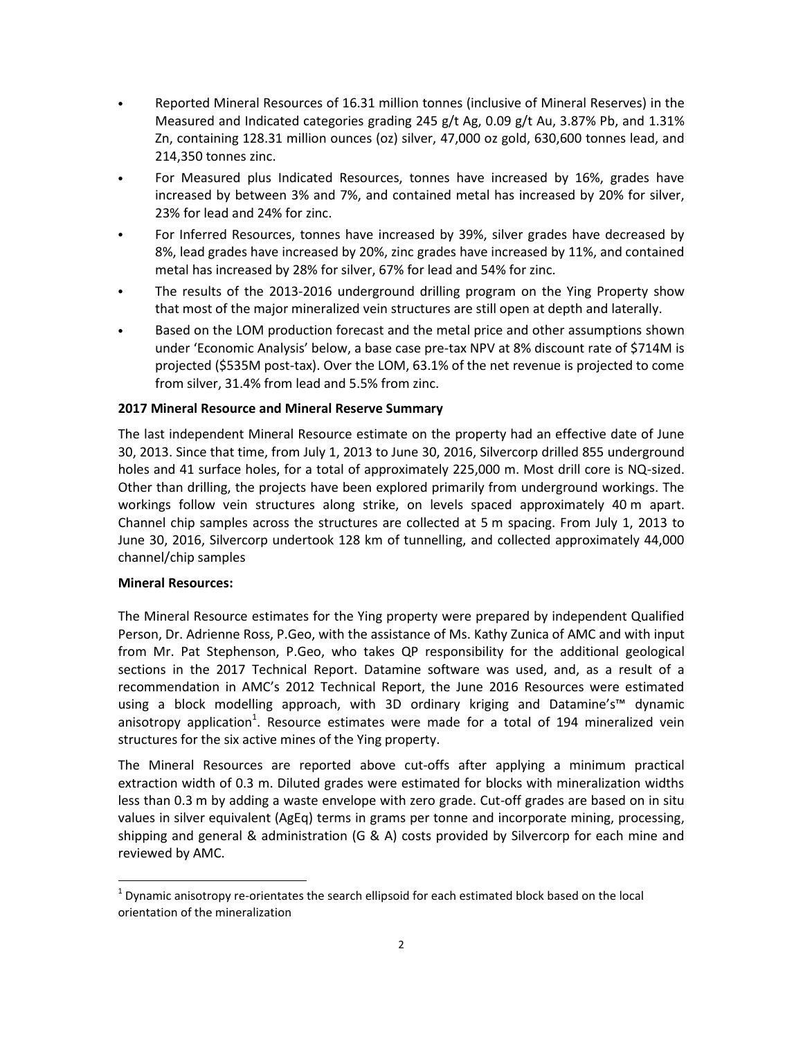- Reported Mineral Resources of 16.31 million tonnes (inclusive of Mineral Reserves) in the Measured and Indicated categories grading 245 g/t Ag, 0.09 g/t Au, 3.87% Pb, and 1.31% Zn, containing 128.31 million ounces (oz) silver, 47,000 oz gold, 630,600 tonnes lead, and 214,350 tonnes zinc.
- For Measured plus Indicated Resources, tonnes have increased by 16%, grades have increased by between 3% and 7%, and contained metal has increased by 20% for silver, 23% for lead and 24% for zinc.
- For Inferred Resources, tonnes have increased by 39%, silver grades have decreased by 8%, lead grades have increased by 20%, zinc grades have increased by 11%, and contained metal has increased by 28% for silver, 67% for lead and 54% for zinc.
- The results of the 2013-2016 underground drilling program on the Ying Property show that most of the major mineralized vein structures are still open at depth and laterally.
- Based on the LOM production forecast and the metal price and other assumptions shown under 'Economic Analysis' below, a base case pre-tax NPV at 8% discount rate of \$714M is projected (\$535M post-tax). Over the LOM, 63.1% of the net revenue is projected to come from silver, 31.4% from lead and 5.5% from zinc.

# **2017 Mineral Resource and Mineral Reserve Summary**

The last independent Mineral Resource estimate on the property had an effective date of June 30, 2013. Since that time, from July 1, 2013 to June 30, 2016, Silvercorp drilled 855 underground holes and 41 surface holes, for a total of approximately 225,000 m. Most drill core is NQ-sized. Other than drilling, the projects have been explored primarily from underground workings. The workings follow vein structures along strike, on levels spaced approximately 40 m apart. Channel chip samples across the structures are collected at 5 m spacing. From July 1, 2013 to June 30, 2016, Silvercorp undertook 128 km of tunnelling, and collected approximately 44,000 channel/chip samples

# **Mineral Resources:**

 $\overline{a}$ 

The Mineral Resource estimates for the Ying property were prepared by independent Qualified Person, Dr. Adrienne Ross, P.Geo, with the assistance of Ms. Kathy Zunica of AMC and with input from Mr. Pat Stephenson, P.Geo, who takes QP responsibility for the additional geological sections in the 2017 Technical Report. Datamine software was used, and, as a result of a recommendation in AMC's 2012 Technical Report, the June 2016 Resources were estimated using a block modelling approach, with 3D ordinary kriging and Datamine's™ dynamic anisotropy application<sup>1</sup>. Resource estimates were made for a total of 194 mineralized vein structures for the six active mines of the Ying property.

The Mineral Resources are reported above cut-offs after applying a minimum practical extraction width of 0.3 m. Diluted grades were estimated for blocks with mineralization widths less than 0.3 m by adding a waste envelope with zero grade. Cut-off grades are based on in situ values in silver equivalent (AgEq) terms in grams per tonne and incorporate mining, processing, shipping and general & administration (G & A) costs provided by Silvercorp for each mine and reviewed by AMC.

 $^1$  Dynamic anisotropy re-orientates the search ellipsoid for each estimated block based on the local orientation of the mineralization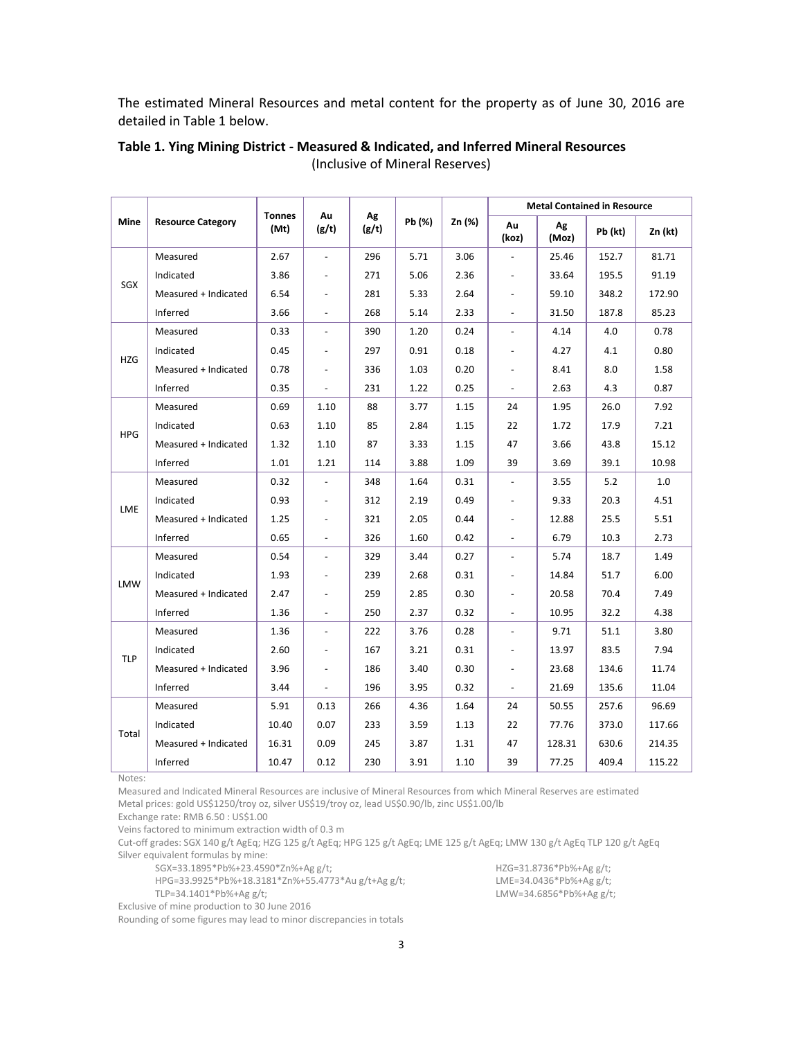The estimated Mineral Resources and metal content for the property as of June 30, 2016 are detailed in Table 1 below.

|            |                          | <b>Tonnes</b><br>(Mt) | Au<br>(g/t)              | Ag<br>(g/t) |        |        | <b>Metal Contained in Resource</b> |             |         |         |  |
|------------|--------------------------|-----------------------|--------------------------|-------------|--------|--------|------------------------------------|-------------|---------|---------|--|
| Mine       | <b>Resource Category</b> |                       |                          |             | Pb (%) | Zn (%) | Au<br>(koz)                        | Αg<br>(Moz) | Pb (kt) | Zn (kt) |  |
| SGX        | Measured                 | 2.67                  | $\Box$                   | 296         | 5.71   | 3.06   |                                    | 25.46       | 152.7   | 81.71   |  |
|            | Indicated                | 3.86                  | $\blacksquare$           | 271         | 5.06   | 2.36   | L,                                 | 33.64       | 195.5   | 91.19   |  |
|            | Measured + Indicated     | 6.54                  | $\blacksquare$           | 281         | 5.33   | 2.64   | $\blacksquare$                     | 59.10       | 348.2   | 172.90  |  |
|            | Inferred                 | 3.66                  |                          | 268         | 5.14   | 2.33   |                                    | 31.50       | 187.8   | 85.23   |  |
|            | Measured                 | 0.33                  | $\overline{\phantom{a}}$ | 390         | 1.20   | 0.24   | $\blacksquare$                     | 4.14        | 4.0     | 0.78    |  |
|            | Indicated                | 0.45                  | $\blacksquare$           | 297         | 0.91   | 0.18   | $\blacksquare$                     | 4.27        | 4.1     | 0.80    |  |
| <b>HZG</b> | Measured + Indicated     | 0.78                  |                          | 336         | 1.03   | 0.20   | $\blacksquare$                     | 8.41        | 8.0     | 1.58    |  |
|            | Inferred                 | 0.35                  |                          | 231         | 1.22   | 0.25   |                                    | 2.63        | 4.3     | 0.87    |  |
|            | Measured                 | 0.69                  | 1.10                     | 88          | 3.77   | 1.15   | 24                                 | 1.95        | 26.0    | 7.92    |  |
| <b>HPG</b> | Indicated                | 0.63                  | 1.10                     | 85          | 2.84   | 1.15   | 22                                 | 1.72        | 17.9    | 7.21    |  |
|            | Measured + Indicated     | 1.32                  | 1.10                     | 87          | 3.33   | 1.15   | 47                                 | 3.66        | 43.8    | 15.12   |  |
|            | Inferred                 | 1.01                  | 1.21                     | 114         | 3.88   | 1.09   | 39                                 | 3.69        | 39.1    | 10.98   |  |
|            | Measured                 | 0.32                  |                          | 348         | 1.64   | 0.31   |                                    | 3.55        | 5.2     | 1.0     |  |
|            | Indicated                | 0.93                  | $\blacksquare$           | 312         | 2.19   | 0.49   | $\Box$                             | 9.33        | 20.3    | 4.51    |  |
| LME        | Measured + Indicated     | 1.25                  | $\blacksquare$           | 321         | 2.05   | 0.44   | $\overline{\phantom{a}}$           | 12.88       | 25.5    | 5.51    |  |
|            | Inferred                 | 0.65                  | $\blacksquare$           | 326         | 1.60   | 0.42   | $\blacksquare$                     | 6.79        | 10.3    | 2.73    |  |
|            | Measured                 | 0.54                  | $\blacksquare$           | 329         | 3.44   | 0.27   | $\blacksquare$                     | 5.74        | 18.7    | 1.49    |  |
| LMW        | Indicated                | 1.93                  | $\blacksquare$           | 239         | 2.68   | 0.31   | $\overline{\phantom{a}}$           | 14.84       | 51.7    | 6.00    |  |
|            | Measured + Indicated     | 2.47                  | $\overline{\phantom{a}}$ | 259         | 2.85   | 0.30   | $\overline{\phantom{a}}$           | 20.58       | 70.4    | 7.49    |  |
|            | Inferred                 | 1.36                  | $\overline{\phantom{a}}$ | 250         | 2.37   | 0.32   | $\blacksquare$                     | 10.95       | 32.2    | 4.38    |  |
|            | Measured                 | 1.36                  | $\blacksquare$           | 222         | 3.76   | 0.28   | $\blacksquare$                     | 9.71        | 51.1    | 3.80    |  |
| <b>TLP</b> | Indicated                | 2.60                  |                          | 167         | 3.21   | 0.31   | $\blacksquare$                     | 13.97       | 83.5    | 7.94    |  |
|            | Measured + Indicated     | 3.96                  | $\blacksquare$           | 186         | 3.40   | 0.30   | $\blacksquare$                     | 23.68       | 134.6   | 11.74   |  |
|            | Inferred                 | 3.44                  | $\blacksquare$           | 196         | 3.95   | 0.32   | $\blacksquare$                     | 21.69       | 135.6   | 11.04   |  |
| Total      | Measured                 | 5.91                  | 0.13                     | 266         | 4.36   | 1.64   | 24                                 | 50.55       | 257.6   | 96.69   |  |
|            | Indicated                | 10.40                 | 0.07                     | 233         | 3.59   | 1.13   | 22                                 | 77.76       | 373.0   | 117.66  |  |
|            | Measured + Indicated     | 16.31                 | 0.09                     | 245         | 3.87   | 1.31   | 47                                 | 128.31      | 630.6   | 214.35  |  |
|            | Inferred                 | 10.47                 | 0.12                     | 230         | 3.91   | 1.10   | 39                                 | 77.25       | 409.4   | 115.22  |  |

# **Table 1. Ying Mining District - Measured & Indicated, and Inferred Mineral Resources** (Inclusive of Mineral Reserves)

Notes:

Measured and Indicated Mineral Resources are inclusive of Mineral Resources from which Mineral Reserves are estimated Metal prices: gold US\$1250/troy oz, silver US\$19/troy oz, lead US\$0.90/lb, zinc US\$1.00/lb

Exchange rate: RMB 6.50 : US\$1.00

Veins factored to minimum extraction width of 0.3 m

Cut-off grades: SGX 140 g/t AgEq; HZG 125 g/t AgEq; HPG 125 g/t AgEq; LME 125 g/t AgEq; LMW 130 g/t AgEq TLP 120 g/t AgEq Silver equivalent formulas by mine:

SGX=33.1895\*Pb%+23.4590\*Zn%+Ag g/t;<br>
HPG=33.9925\*Pb%+18.3181\*Zn%+55.4773\*Au g/t+Ag g/t;<br>
HPG=34.0436\*Pb%+Ag g/t;<br>
HDE=34.0436\*Pb%+Ag g/t; HPG=33.9925\*Pb%+18.3181\*Zn%+55.4773\*Au g/t+Ag g/t;<br>TLP=34.1401\*Pb%+Ag g/t;

Exclusive of mine production to 30 June 2016

Rounding of some figures may lead to minor discrepancies in totals

LMW=34.6856\*Pb%+Ag g/t;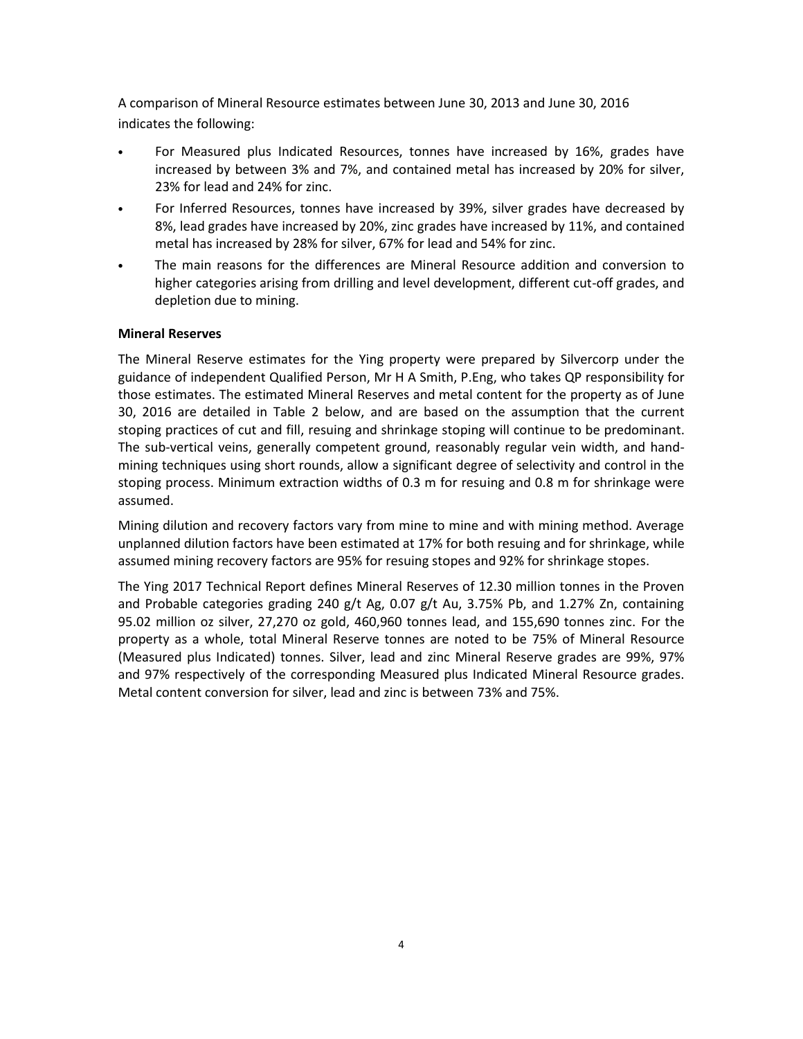A comparison of Mineral Resource estimates between June 30, 2013 and June 30, 2016 indicates the following:

- For Measured plus Indicated Resources, tonnes have increased by 16%, grades have increased by between 3% and 7%, and contained metal has increased by 20% for silver, 23% for lead and 24% for zinc.
- For Inferred Resources, tonnes have increased by 39%, silver grades have decreased by 8%, lead grades have increased by 20%, zinc grades have increased by 11%, and contained metal has increased by 28% for silver, 67% for lead and 54% for zinc.
- The main reasons for the differences are Mineral Resource addition and conversion to higher categories arising from drilling and level development, different cut-off grades, and depletion due to mining.

# **Mineral Reserves**

The Mineral Reserve estimates for the Ying property were prepared by Silvercorp under the guidance of independent Qualified Person, Mr H A Smith, P.Eng, who takes QP responsibility for those estimates. The estimated Mineral Reserves and metal content for the property as of June 30, 2016 are detailed in Table 2 below, and are based on the assumption that the current stoping practices of cut and fill, resuing and shrinkage stoping will continue to be predominant. The sub-vertical veins, generally competent ground, reasonably regular vein width, and handmining techniques using short rounds, allow a significant degree of selectivity and control in the stoping process. Minimum extraction widths of 0.3 m for resuing and 0.8 m for shrinkage were assumed.

Mining dilution and recovery factors vary from mine to mine and with mining method. Average unplanned dilution factors have been estimated at 17% for both resuing and for shrinkage, while assumed mining recovery factors are 95% for resuing stopes and 92% for shrinkage stopes.

The Ying 2017 Technical Report defines Mineral Reserves of 12.30 million tonnes in the Proven and Probable categories grading 240 g/t Ag, 0.07 g/t Au, 3.75% Pb, and 1.27% Zn, containing 95.02 million oz silver, 27,270 oz gold, 460,960 tonnes lead, and 155,690 tonnes zinc. For the property as a whole, total Mineral Reserve tonnes are noted to be 75% of Mineral Resource (Measured plus Indicated) tonnes. Silver, lead and zinc Mineral Reserve grades are 99%, 97% and 97% respectively of the corresponding Measured plus Indicated Mineral Resource grades. Metal content conversion for silver, lead and zinc is between 73% and 75%.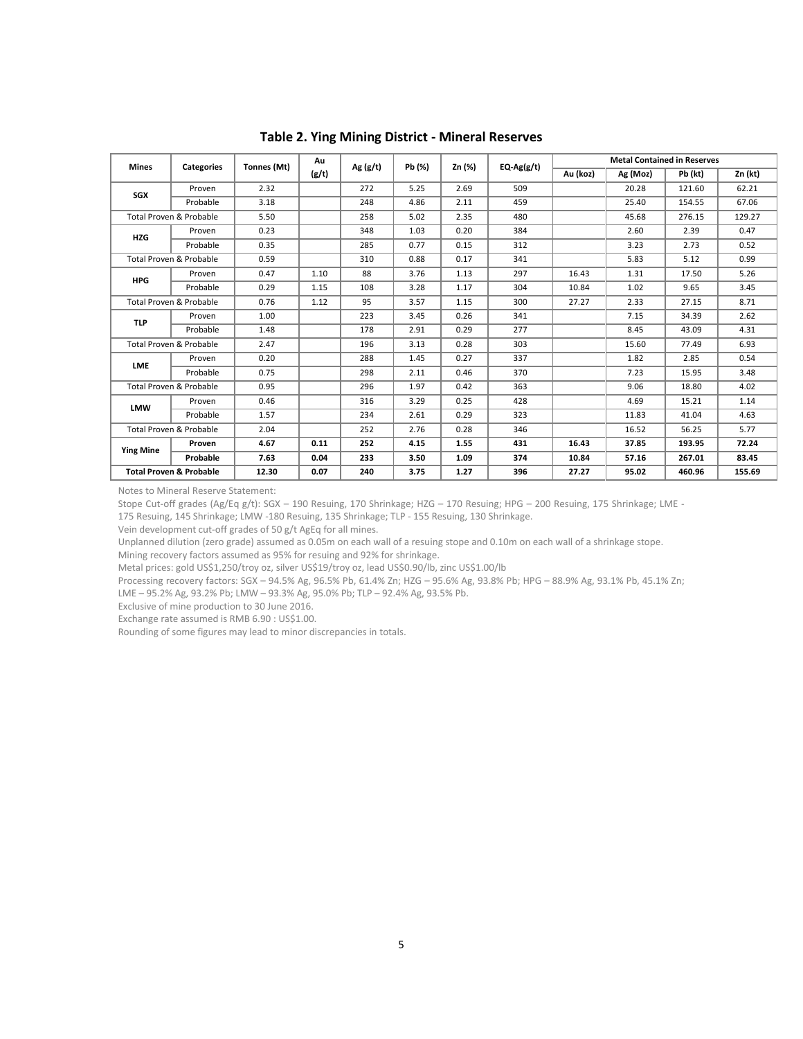| <b>Mines</b>                       | <b>Categories</b> | Tonnes (Mt) | Au<br>(g/t) | Ag $(g/t)$ | Pb (%) | Zn (%) | $EQ-Ag(g/t)$ | <b>Metal Contained in Reserves</b> |          |         |         |  |
|------------------------------------|-------------------|-------------|-------------|------------|--------|--------|--------------|------------------------------------|----------|---------|---------|--|
|                                    |                   |             |             |            |        |        |              | Au (koz)                           | Ag (Moz) | Pb (kt) | Zn (kt) |  |
| SGX                                | Proven            | 2.32        |             | 272        | 5.25   | 2.69   | 509          |                                    | 20.28    | 121.60  | 62.21   |  |
|                                    | Probable          | 3.18        |             | 248        | 4.86   | 2.11   | 459          |                                    | 25.40    | 154.55  | 67.06   |  |
| Total Proven & Probable            |                   | 5.50        |             | 258        | 5.02   | 2.35   | 480          |                                    | 45.68    | 276.15  | 129.27  |  |
| <b>HZG</b>                         | Proven            | 0.23        |             | 348        | 1.03   | 0.20   | 384          |                                    | 2.60     | 2.39    | 0.47    |  |
|                                    | Probable          | 0.35        |             | 285        | 0.77   | 0.15   | 312          |                                    | 3.23     | 2.73    | 0.52    |  |
| Total Proven & Probable            |                   | 0.59        |             | 310        | 0.88   | 0.17   | 341          |                                    | 5.83     | 5.12    | 0.99    |  |
| <b>HPG</b>                         | Proven            | 0.47        | 1.10        | 88         | 3.76   | 1.13   | 297          | 16.43                              | 1.31     | 17.50   | 5.26    |  |
|                                    | Probable          | 0.29        | 1.15        | 108        | 3.28   | 1.17   | 304          | 10.84                              | 1.02     | 9.65    | 3.45    |  |
| Total Proven & Probable            |                   | 0.76        | 1.12        | 95         | 3.57   | 1.15   | 300          | 27.27                              | 2.33     | 27.15   | 8.71    |  |
| <b>TLP</b>                         | Proven            | 1.00        |             | 223        | 3.45   | 0.26   | 341          |                                    | 7.15     | 34.39   | 2.62    |  |
|                                    | Probable          | 1.48        |             | 178        | 2.91   | 0.29   | 277          |                                    | 8.45     | 43.09   | 4.31    |  |
| Total Proven & Probable            |                   | 2.47        |             | 196        | 3.13   | 0.28   | 303          |                                    | 15.60    | 77.49   | 6.93    |  |
| <b>LME</b>                         | Proven            | 0.20        |             | 288        | 1.45   | 0.27   | 337          |                                    | 1.82     | 2.85    | 0.54    |  |
|                                    | Probable          | 0.75        |             | 298        | 2.11   | 0.46   | 370          |                                    | 7.23     | 15.95   | 3.48    |  |
| Total Proven & Probable            |                   | 0.95        |             | 296        | 1.97   | 0.42   | 363          |                                    | 9.06     | 18.80   | 4.02    |  |
| <b>LMW</b>                         | Proven            | 0.46        |             | 316        | 3.29   | 0.25   | 428          |                                    | 4.69     | 15.21   | 1.14    |  |
|                                    | Probable          | 1.57        |             | 234        | 2.61   | 0.29   | 323          |                                    | 11.83    | 41.04   | 4.63    |  |
| Total Proven & Probable            |                   | 2.04        |             | 252        | 2.76   | 0.28   | 346          |                                    | 16.52    | 56.25   | 5.77    |  |
| <b>Ying Mine</b>                   | Proven            | 4.67        | 0.11        | 252        | 4.15   | 1.55   | 431          | 16.43                              | 37.85    | 193.95  | 72.24   |  |
|                                    | Probable          | 7.63        | 0.04        | 233        | 3.50   | 1.09   | 374          | 10.84                              | 57.16    | 267.01  | 83.45   |  |
| <b>Total Proven &amp; Probable</b> |                   | 12.30       | 0.07        | 240        | 3.75   | 1.27   | 396          | 27.27                              | 95.02    | 460.96  | 155.69  |  |

**Table 2. Ying Mining District - Mineral Reserves**

Notes to Mineral Reserve Statement:

Stope Cut-off grades (Ag/Eq g/t): SGX – 190 Resuing, 170 Shrinkage; HZG – 170 Resuing; HPG – 200 Resuing, 175 Shrinkage; LME -

175 Resuing, 145 Shrinkage; LMW -180 Resuing, 135 Shrinkage; TLP - 155 Resuing, 130 Shrinkage.

Vein development cut-off grades of 50 g/t AgEq for all mines.

Unplanned dilution (zero grade) assumed as 0.05m on each wall of a resuing stope and 0.10m on each wall of a shrinkage stope.

Mining recovery factors assumed as 95% for resuing and 92% for shrinkage.

Metal prices: gold US\$1,250/troy oz, silver US\$19/troy oz, lead US\$0.90/lb, zinc US\$1.00/lb

Processing recovery factors: SGX – 94.5% Ag, 96.5% Pb, 61.4% Zn; HZG – 95.6% Ag, 93.8% Pb; HPG – 88.9% Ag, 93.1% Pb, 45.1% Zn;

LME – 95.2% Ag, 93.2% Pb; LMW – 93.3% Ag, 95.0% Pb; TLP – 92.4% Ag, 93.5% Pb.

Exclusive of mine production to 30 June 2016.

Exchange rate assumed is RMB 6.90 : US\$1.00.

Rounding of some figures may lead to minor discrepancies in totals.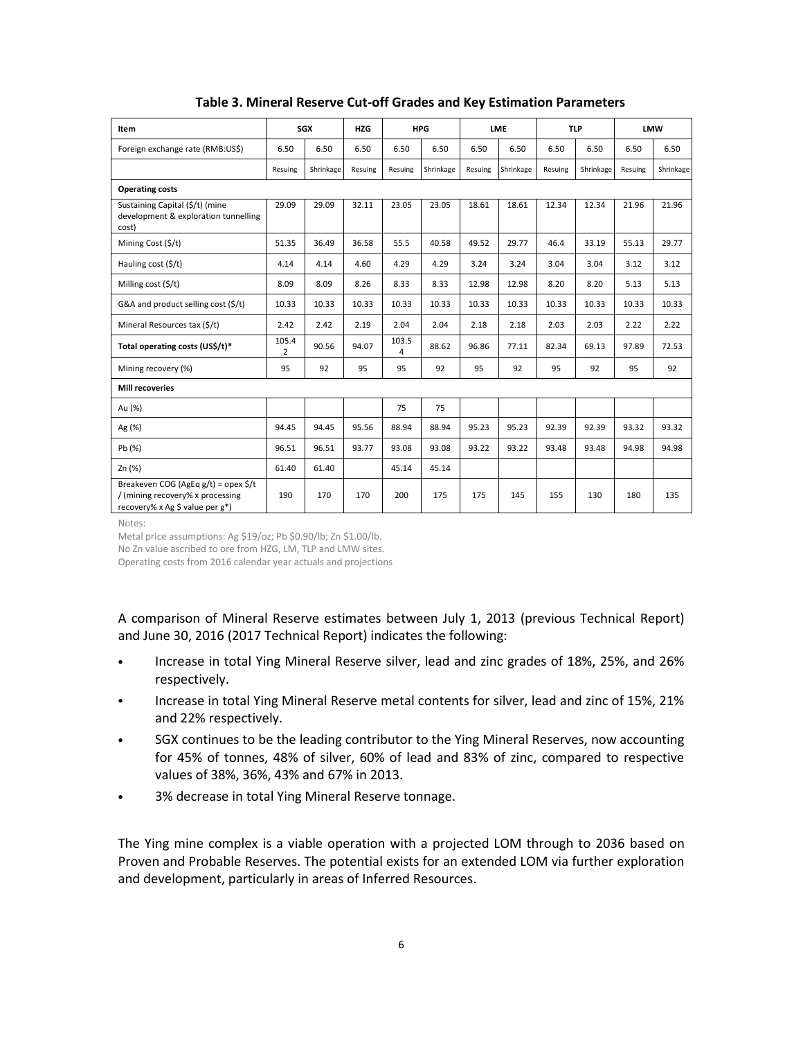| Item                                                                                                                    | SGX                     |           | <b>HZG</b> | <b>HPG</b> |           | <b>LME</b> |           | <b>TLP</b> |           | <b>LMW</b> |           |
|-------------------------------------------------------------------------------------------------------------------------|-------------------------|-----------|------------|------------|-----------|------------|-----------|------------|-----------|------------|-----------|
| Foreign exchange rate (RMB:US\$)                                                                                        | 6.50                    | 6.50      | 6.50       | 6.50       | 6.50      | 6.50       | 6.50      | 6.50       | 6.50      | 6.50       | 6.50      |
|                                                                                                                         | Resuing                 | Shrinkage | Resuing    | Resuing    | Shrinkage | Resuing    | Shrinkage | Resuing    | Shrinkage | Resuing    | Shrinkage |
| <b>Operating costs</b>                                                                                                  |                         |           |            |            |           |            |           |            |           |            |           |
| Sustaining Capital (\$/t) (mine<br>development & exploration tunnelling<br>cost)                                        | 29.09                   | 29.09     | 32.11      | 23.05      | 23.05     | 18.61      | 18.61     | 12.34      | 12.34     | 21.96      | 21.96     |
| Mining Cost (\$/t)                                                                                                      | 51.35                   | 36.49     | 36.58      | 55.5       | 40.58     | 49.52      | 29.77     | 46.4       | 33.19     | 55.13      | 29.77     |
| Hauling cost (\$/t)                                                                                                     | 4.14                    | 4.14      | 4.60       | 4.29       | 4.29      | 3.24       | 3.24      | 3.04       | 3.04      | 3.12       | 3.12      |
| Milling cost (\$/t)                                                                                                     | 8.09                    | 8.09      | 8.26       | 8.33       | 8.33      | 12.98      | 12.98     | 8.20       | 8.20      | 5.13       | 5.13      |
| G&A and product selling cost (\$/t)                                                                                     | 10.33                   | 10.33     | 10.33      | 10.33      | 10.33     | 10.33      | 10.33     | 10.33      | 10.33     | 10.33      | 10.33     |
| Mineral Resources tax (\$/t)                                                                                            | 2.42                    | 2.42      | 2.19       | 2.04       | 2.04      | 2.18       | 2.18      | 2.03       | 2.03      | 2.22       | 2.22      |
| Total operating costs (US\$/t)*                                                                                         | 105.4<br>$\overline{2}$ | 90.56     | 94.07      | 103.5<br>4 | 88.62     | 96.86      | 77.11     | 82.34      | 69.13     | 97.89      | 72.53     |
| Mining recovery (%)                                                                                                     | 95                      | 92        | 95         | 95         | 92        | 95         | 92        | 95         | 92        | 95         | 92        |
| <b>Mill recoveries</b>                                                                                                  |                         |           |            |            |           |            |           |            |           |            |           |
| Au (%)                                                                                                                  |                         |           |            | 75         | 75        |            |           |            |           |            |           |
| Ag (%)                                                                                                                  | 94.45                   | 94.45     | 95.56      | 88.94      | 88.94     | 95.23      | 95.23     | 92.39      | 92.39     | 93.32      | 93.32     |
| Pb (%)                                                                                                                  | 96.51                   | 96.51     | 93.77      | 93.08      | 93.08     | 93.22      | 93.22     | 93.48      | 93.48     | 94.98      | 94.98     |
| Zn (%)                                                                                                                  | 61.40                   | 61.40     |            | 45.14      | 45.14     |            |           |            |           |            |           |
| Breakeven COG (AgEq $g/t$ ) = opex $\frac{5}{t}$<br>/ (mining recovery% x processing<br>recovery% x Ag \$ value per g*) | 190                     | 170       | 170        | 200        | 175       | 175        | 145       | 155        | 130       | 180        | 135       |

#### **Table 3. Mineral Reserve Cut-off Grades and Key Estimation Parameters**

Notes:

Metal price assumptions: Ag \$19/oz; Pb \$0.90/lb; Zn \$1.00/lb. No Zn value ascribed to ore from HZG, LM, TLP and LMW sites.

Operating costs from 2016 calendar year actuals and projections

A comparison of Mineral Reserve estimates between July 1, 2013 (previous Technical Report) and June 30, 2016 (2017 Technical Report) indicates the following:

- Increase in total Ying Mineral Reserve silver, lead and zinc grades of 18%, 25%, and 26% respectively.
- Increase in total Ying Mineral Reserve metal contents for silver, lead and zinc of 15%, 21% and 22% respectively.
- SGX continues to be the leading contributor to the Ying Mineral Reserves, now accounting for 45% of tonnes, 48% of silver, 60% of lead and 83% of zinc, compared to respective values of 38%, 36%, 43% and 67% in 2013.
- 3% decrease in total Ying Mineral Reserve tonnage.

The Ying mine complex is a viable operation with a projected LOM through to 2036 based on Proven and Probable Reserves. The potential exists for an extended LOM via further exploration and development, particularly in areas of Inferred Resources.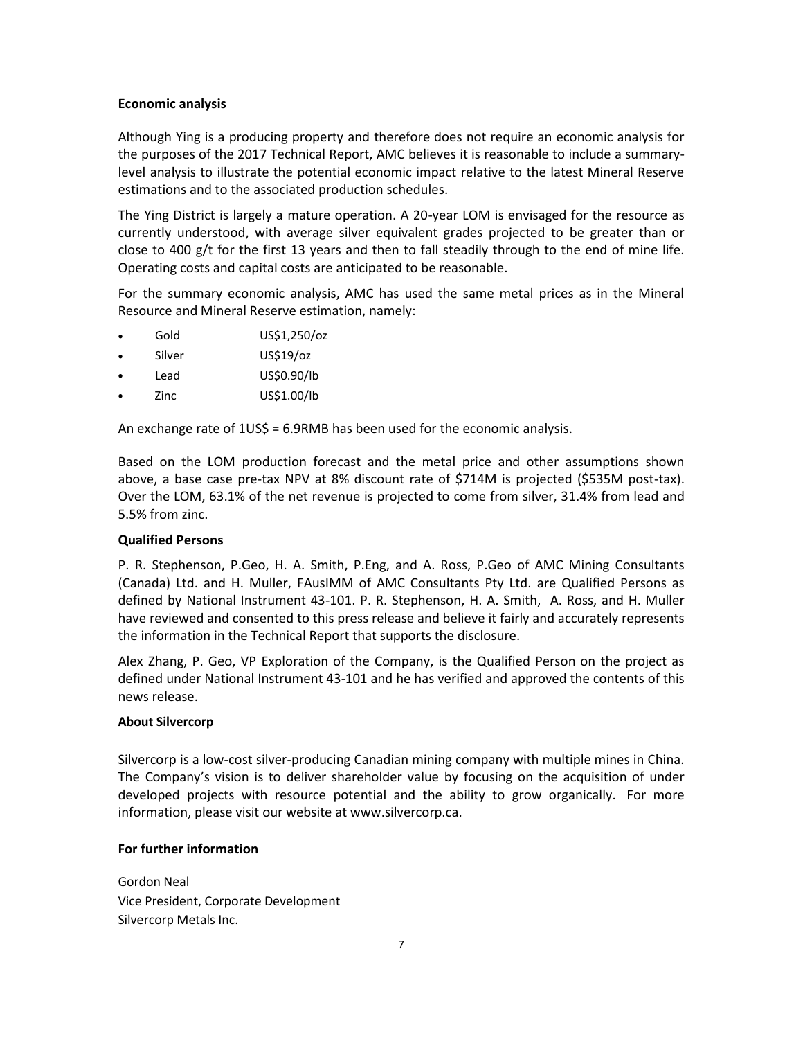### **Economic analysis**

Although Ying is a producing property and therefore does not require an economic analysis for the purposes of the 2017 Technical Report, AMC believes it is reasonable to include a summarylevel analysis to illustrate the potential economic impact relative to the latest Mineral Reserve estimations and to the associated production schedules.

The Ying District is largely a mature operation. A 20-year LOM is envisaged for the resource as currently understood, with average silver equivalent grades projected to be greater than or close to 400  $g/t$  for the first 13 years and then to fall steadily through to the end of mine life. Operating costs and capital costs are anticipated to be reasonable.

For the summary economic analysis, AMC has used the same metal prices as in the Mineral Resource and Mineral Reserve estimation, namely:

- Gold US\$1,250/oz
- Silver US\$19/oz
- Lead US\$0.90/lb
- Zinc US\$1.00/lb

An exchange rate of  $1US\$  = 6.9RMB has been used for the economic analysis.

Based on the LOM production forecast and the metal price and other assumptions shown above, a base case pre-tax NPV at 8% discount rate of \$714M is projected (\$535M post-tax). Over the LOM, 63.1% of the net revenue is projected to come from silver, 31.4% from lead and 5.5% from zinc.

# **Qualified Persons**

P. R. Stephenson, P.Geo, H. A. Smith, P.Eng, and A. Ross, P.Geo of AMC Mining Consultants (Canada) Ltd. and H. Muller, FAusIMM of AMC Consultants Pty Ltd. are Qualified Persons as defined by National Instrument 43-101. P. R. Stephenson, H. A. Smith, A. Ross, and H. Muller have reviewed and consented to this press release and believe it fairly and accurately represents the information in the Technical Report that supports the disclosure.

Alex Zhang, P. Geo, VP Exploration of the Company, is the Qualified Person on the project as defined under National Instrument 43-101 and he has verified and approved the contents of this news release.

### **About Silvercorp**

Silvercorp is a low-cost silver-producing Canadian mining company with multiple mines in China. The Company's vision is to deliver shareholder value by focusing on the acquisition of under developed projects with resource potential and the ability to grow organically. For more information, please visit our website at www.silvercorp.ca.

# **For further information**

Gordon Neal Vice President, Corporate Development Silvercorp Metals Inc.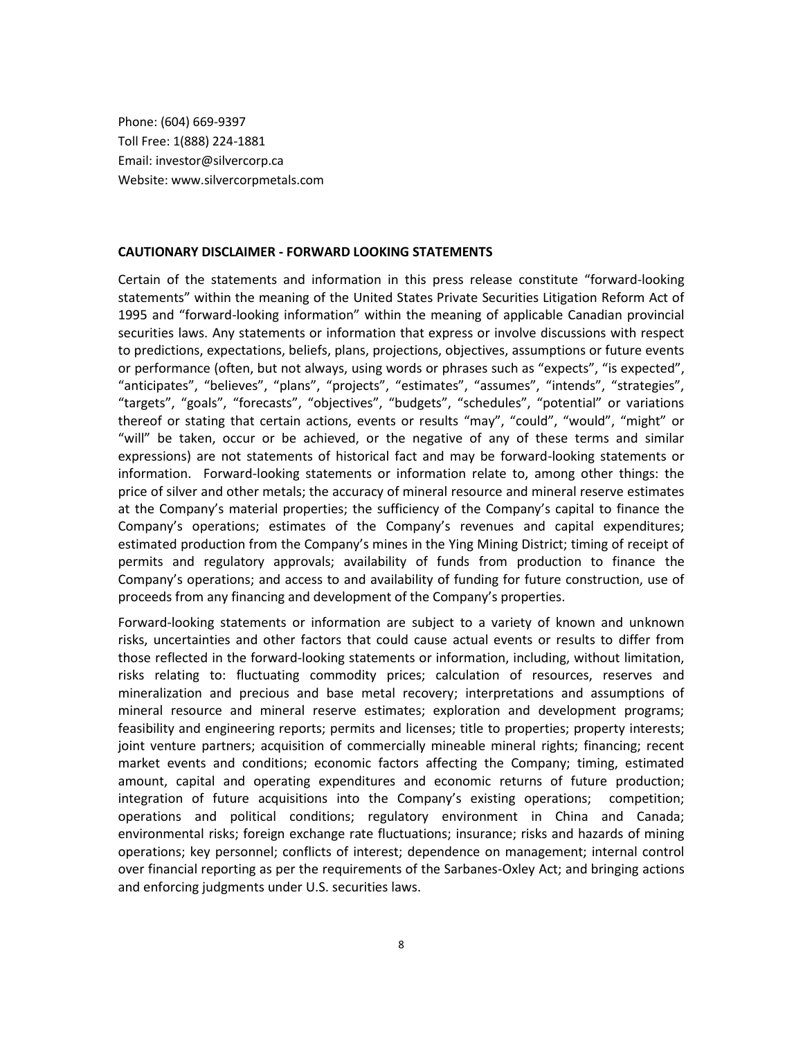Phone: (604) 669-9397 Toll Free: 1(888) 224-1881 Email: investor@silvercorp.ca Website: www.silvercorpmetals.com

### **CAUTIONARY DISCLAIMER - FORWARD LOOKING STATEMENTS**

Certain of the statements and information in this press release constitute "forward-looking statements" within the meaning of the United States Private Securities Litigation Reform Act of 1995 and "forward-looking information" within the meaning of applicable Canadian provincial securities laws. Any statements or information that express or involve discussions with respect to predictions, expectations, beliefs, plans, projections, objectives, assumptions or future events or performance (often, but not always, using words or phrases such as "expects", "is expected", "anticipates", "believes", "plans", "projects", "estimates", "assumes", "intends", "strategies", "targets", "goals", "forecasts", "objectives", "budgets", "schedules", "potential" or variations thereof or stating that certain actions, events or results "may", "could", "would", "might" or "will" be taken, occur or be achieved, or the negative of any of these terms and similar expressions) are not statements of historical fact and may be forward-looking statements or information. Forward-looking statements or information relate to, among other things: the price of silver and other metals; the accuracy of mineral resource and mineral reserve estimates at the Company's material properties; the sufficiency of the Company's capital to finance the Company's operations; estimates of the Company's revenues and capital expenditures; estimated production from the Company's mines in the Ying Mining District; timing of receipt of permits and regulatory approvals; availability of funds from production to finance the Company's operations; and access to and availability of funding for future construction, use of proceeds from any financing and development of the Company's properties.

Forward-looking statements or information are subject to a variety of known and unknown risks, uncertainties and other factors that could cause actual events or results to differ from those reflected in the forward-looking statements or information, including, without limitation, risks relating to: fluctuating commodity prices; calculation of resources, reserves and mineralization and precious and base metal recovery; interpretations and assumptions of mineral resource and mineral reserve estimates; exploration and development programs; feasibility and engineering reports; permits and licenses; title to properties; property interests; joint venture partners; acquisition of commercially mineable mineral rights; financing; recent market events and conditions; economic factors affecting the Company; timing, estimated amount, capital and operating expenditures and economic returns of future production; integration of future acquisitions into the Company's existing operations; competition; operations and political conditions; regulatory environment in China and Canada; environmental risks; foreign exchange rate fluctuations; insurance; risks and hazards of mining operations; key personnel; conflicts of interest; dependence on management; internal control over financial reporting as per the requirements of the Sarbanes-Oxley Act; and bringing actions and enforcing judgments under U.S. securities laws.